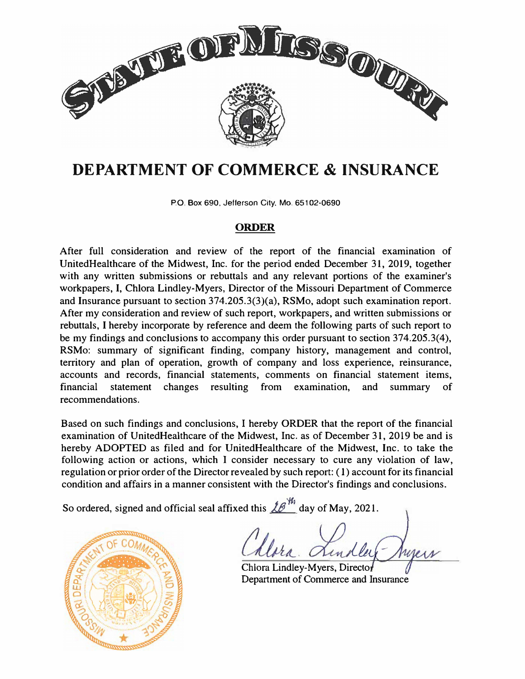

# **DEPARTMENT OF COMMERCE & INSURANCE**

P.O. Box 690, Jellerson City. Mo. 65102·0690

# **ORDER**

After full consideration and review of the report of the financial examination of UnitedHealthcare of the Midwest, Inc. for the period ended December 31, 2019, together with any written submissions or rebuttals and any relevant portions of the examiner's workpapers, I, Chlora Lindley-Myers, Director of the Missouri Department of Commerce and Insurance pursuant to section 374.205.3(3)(a), RSMo, adopt such examination report. After my consideration and review of such report, workpapers, and written submissions or rebuttals, I hereby incorporate by reference and deem the following parts of such report to be my findings and conclusions to accompany this order pursuant to section 374.205.3(4), RSM<sub>0</sub>: summary of significant finding, company history, management and control, territory and plan of operation, growth of company and loss experience, reinsurance, accounts and records, financial statements, comments on financial statement items, financial statement changes resulting from examination, and summary of recommendations.

Based on such findings and conclusions, I hereby ORDER that the report of the financial examination of UnitedHealthcare of the Midwest, Inc. as of December 31, 2019 be and is hereby ADOPTED as filed and for UnitedHealthcare of the Midwest, Inc. to take the following action or actions, which I consider necessary to cure any violation of law, regulation or prior order of the Director revealed by such report: ( 1) account for its financial condition and affairs in a manner consistent with the Director's findings and conclusions.

So ordered, signed and official seal affixed this  $\mathscr{L} \mathscr{B}^{\mathscr{W}}$  day of May, 2021.



Chiora Lindley-Myers, Director Department of Commerce and Insurance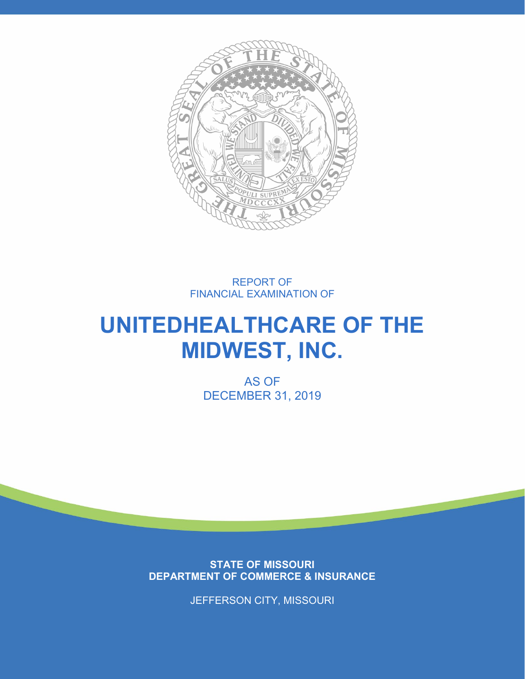

REPORT OF FINANCIAL EXAMINATION OF

# **UNITEDHEALTHCARE OF THE MIDWEST, INC.**

AS OF DECEMBER 31, 2019

**STATE OF MISSOURI DEPARTMENT OF COMMERCE & INSURANCE**

JEFFERSON CITY, MISSOURI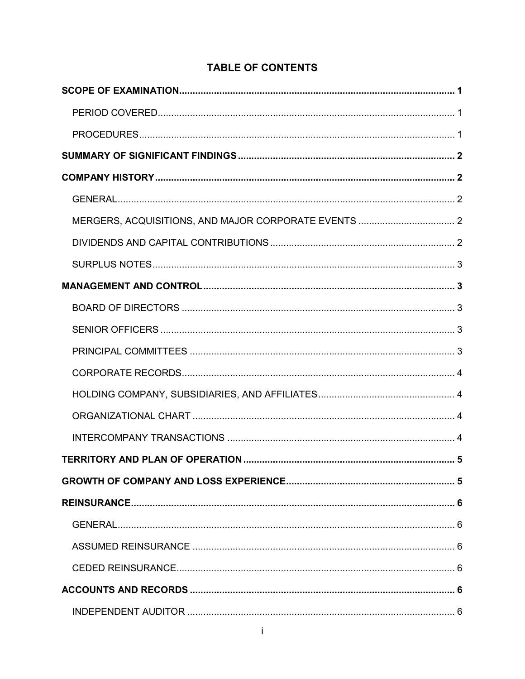# **TABLE OF CONTENTS**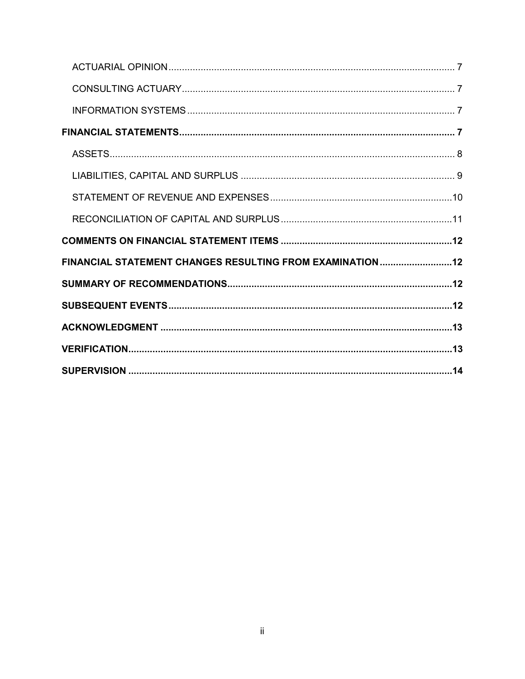| FINANCIAL STATEMENT CHANGES RESULTING FROM EXAMINATION 12 |  |
|-----------------------------------------------------------|--|
|                                                           |  |
|                                                           |  |
|                                                           |  |
|                                                           |  |
|                                                           |  |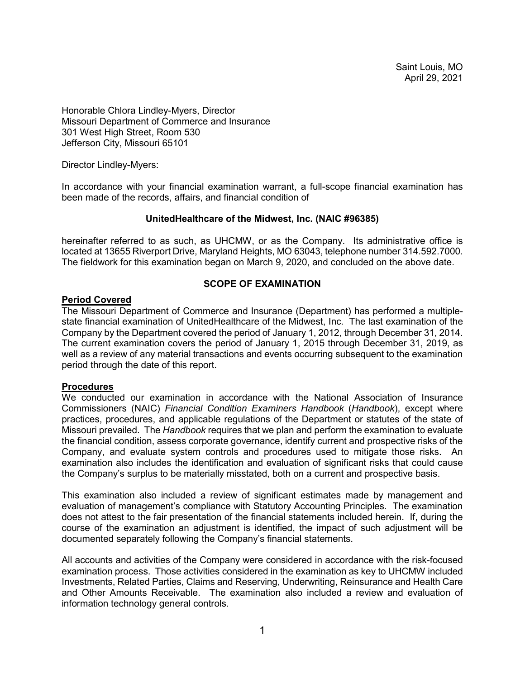Saint Louis, MO April 29, 2021

Honorable Chlora Lindley-Myers, Director Missouri Department of Commerce and Insurance 301 West High Street, Room 530 Jefferson City, Missouri 65101

Director Lindley-Myers:

In accordance with your financial examination warrant, a full-scope financial examination has been made of the records, affairs, and financial condition of

#### **UnitedHealthcare of the Midwest, Inc. (NAIC #96385)**

hereinafter referred to as such, as UHCMW, or as the Company. Its administrative office is located at 13655 Riverport Drive, Maryland Heights, MO 63043, telephone number 314.592.7000. The fieldwork for this examination began on March 9, 2020, and concluded on the above date.

#### **SCOPE OF EXAMINATION**

#### <span id="page-4-1"></span><span id="page-4-0"></span>**Period Covered**

The Missouri Department of Commerce and Insurance (Department) has performed a multiplestate financial examination of UnitedHealthcare of the Midwest, Inc. The last examination of the Company by the Department covered the period of January 1, 2012, through December 31, 2014. The current examination covers the period of January 1, 2015 through December 31, 2019, as well as a review of any material transactions and events occurring subsequent to the examination period through the date of this report.

#### <span id="page-4-2"></span>**Procedures**

We conducted our examination in accordance with the National Association of Insurance Commissioners (NAIC) *Financial Condition Examiners Handbook* (*Handbook*), except where practices, procedures, and applicable regulations of the Department or statutes of the state of Missouri prevailed. The *Handbook* requires that we plan and perform the examination to evaluate the financial condition, assess corporate governance, identify current and prospective risks of the Company, and evaluate system controls and procedures used to mitigate those risks. An examination also includes the identification and evaluation of significant risks that could cause the Company's surplus to be materially misstated, both on a current and prospective basis.

This examination also included a review of significant estimates made by management and evaluation of management's compliance with Statutory Accounting Principles. The examination does not attest to the fair presentation of the financial statements included herein. If, during the course of the examination an adjustment is identified, the impact of such adjustment will be documented separately following the Company's financial statements.

All accounts and activities of the Company were considered in accordance with the risk-focused examination process. Those activities considered in the examination as key to UHCMW included Investments, Related Parties, Claims and Reserving, Underwriting, Reinsurance and Health Care and Other Amounts Receivable. The examination also included a review and evaluation of information technology general controls.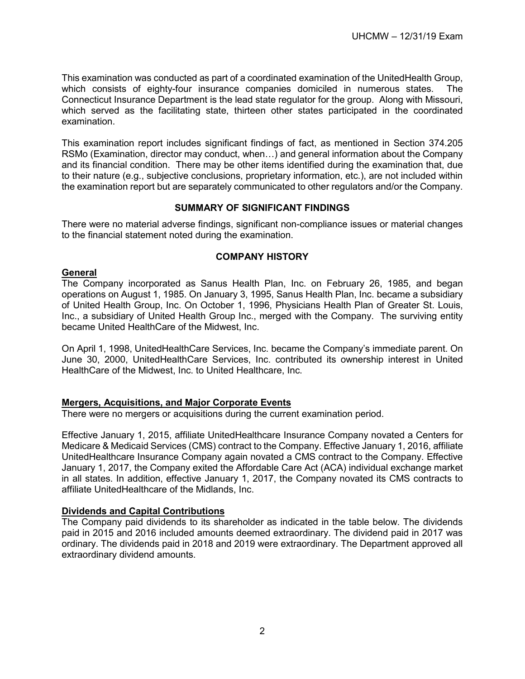This examination was conducted as part of a coordinated examination of the UnitedHealth Group, which consists of eighty-four insurance companies domiciled in numerous states. The Connecticut Insurance Department is the lead state regulator for the group. Along with Missouri, which served as the facilitating state, thirteen other states participated in the coordinated examination.

This examination report includes significant findings of fact, as mentioned in Section 374.205 RSMo (Examination, director may conduct, when…) and general information about the Company and its financial condition. There may be other items identified during the examination that, due to their nature (e.g., subjective conclusions, proprietary information, etc.), are not included within the examination report but are separately communicated to other regulators and/or the Company.

# **SUMMARY OF SIGNIFICANT FINDINGS**

<span id="page-5-0"></span>There were no material adverse findings, significant non-compliance issues or material changes to the financial statement noted during the examination.

# **COMPANY HISTORY**

#### <span id="page-5-2"></span><span id="page-5-1"></span>**General**

The Company incorporated as Sanus Health Plan, Inc. on February 26, 1985, and began operations on August 1, 1985. On January 3, 1995, Sanus Health Plan, Inc. became a subsidiary of United Health Group, Inc. On October 1, 1996, Physicians Health Plan of Greater St. Louis, Inc., a subsidiary of United Health Group Inc., merged with the Company. The surviving entity became United HealthCare of the Midwest, Inc.

On April 1, 1998, UnitedHealthCare Services, Inc. became the Company's immediate parent. On June 30, 2000, UnitedHealthCare Services, Inc. contributed its ownership interest in United HealthCare of the Midwest, Inc. to United Healthcare, Inc.

# <span id="page-5-3"></span>**Mergers, Acquisitions, and Major Corporate Events**

There were no mergers or acquisitions during the current examination period.

Effective January 1, 2015, affiliate UnitedHealthcare Insurance Company novated a Centers for Medicare & Medicaid Services (CMS) contract to the Company. Effective January 1, 2016, affiliate UnitedHealthcare Insurance Company again novated a CMS contract to the Company. Effective January 1, 2017, the Company exited the Affordable Care Act (ACA) individual exchange market in all states. In addition, effective January 1, 2017, the Company novated its CMS contracts to affiliate UnitedHealthcare of the Midlands, Inc.

# <span id="page-5-4"></span>**Dividends and Capital Contributions**

The Company paid dividends to its shareholder as indicated in the table below. The dividends paid in 2015 and 2016 included amounts deemed extraordinary. The dividend paid in 2017 was ordinary. The dividends paid in 2018 and 2019 were extraordinary. The Department approved all extraordinary dividend amounts.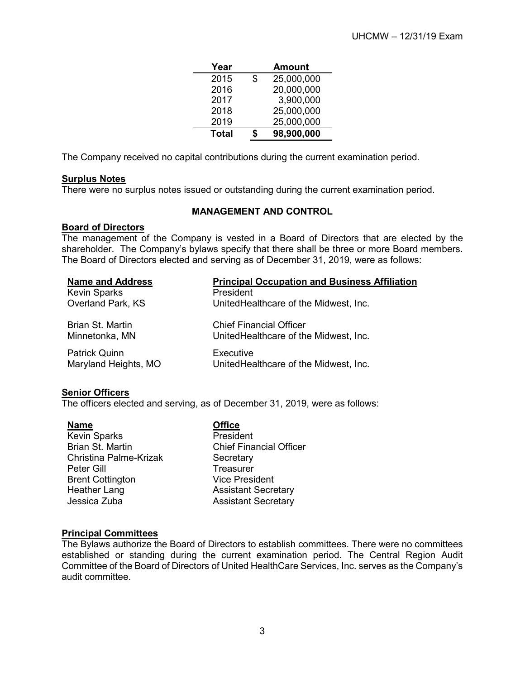| Year         |    | <b>Amount</b> |
|--------------|----|---------------|
| 2015         | \$ | 25,000,000    |
| 2016         |    | 20,000,000    |
| 2017         |    | 3,900,000     |
| 2018         |    | 25,000,000    |
| 2019         |    | 25,000,000    |
| <b>Total</b> | T  | 98,900,000    |

The Company received no capital contributions during the current examination period.

# <span id="page-6-0"></span>**Surplus Notes**

There were no surplus notes issued or outstanding during the current examination period.

# **MANAGEMENT AND CONTROL**

# <span id="page-6-2"></span><span id="page-6-1"></span>**Board of Directors**

The management of the Company is vested in a Board of Directors that are elected by the shareholder. The Company's bylaws specify that there shall be three or more Board members. The Board of Directors elected and serving as of December 31, 2019, were as follows:

| <b>Name and Address</b>                      | <b>Principal Occupation and Business Affiliation</b>                    |
|----------------------------------------------|-------------------------------------------------------------------------|
| <b>Kevin Sparks</b>                          | President                                                               |
| Overland Park, KS                            | UnitedHealthcare of the Midwest, Inc.                                   |
| Brian St. Martin<br>Minnetonka, MN           | <b>Chief Financial Officer</b><br>UnitedHealthcare of the Midwest, Inc. |
| <b>Patrick Quinn</b><br>Maryland Heights, MO | Executive<br>UnitedHealthcare of the Midwest, Inc.                      |

#### <span id="page-6-3"></span>**Senior Officers**

The officers elected and serving, as of December 31, 2019, were as follows:

| <b>Name</b>             | <b>Office</b>                  |
|-------------------------|--------------------------------|
| <b>Kevin Sparks</b>     | President                      |
| Brian St. Martin        | <b>Chief Financial Officer</b> |
| Christina Palme-Krizak  | Secretary                      |
| Peter Gill              | <b>Treasurer</b>               |
| <b>Brent Cottington</b> | <b>Vice President</b>          |
| <b>Heather Lang</b>     | <b>Assistant Secretary</b>     |
| Jessica Zuba            | <b>Assistant Secretary</b>     |
|                         |                                |

# <span id="page-6-4"></span>**Principal Committees**

The Bylaws authorize the Board of Directors to establish committees. There were no committees established or standing during the current examination period. The Central Region Audit Committee of the Board of Directors of United HealthCare Services, Inc. serves as the Company's audit committee.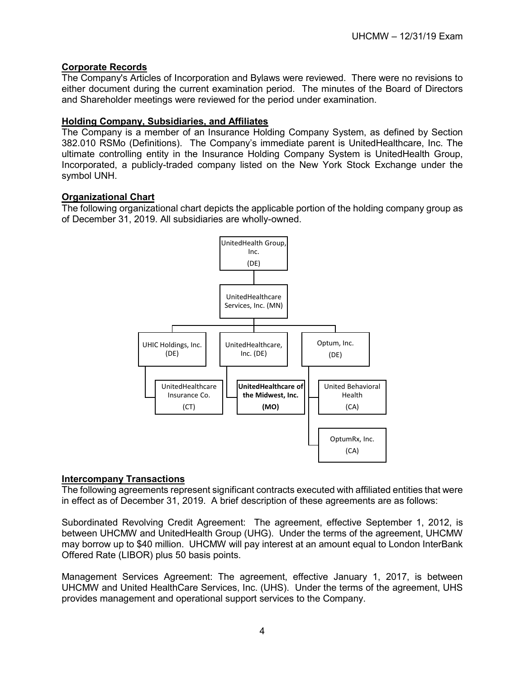# <span id="page-7-0"></span>**Corporate Records**

The Company's Articles of Incorporation and Bylaws were reviewed. There were no revisions to either document during the current examination period. The minutes of the Board of Directors and Shareholder meetings were reviewed for the period under examination.

# <span id="page-7-1"></span>**Holding Company, Subsidiaries, and Affiliates**

The Company is a member of an Insurance Holding Company System, as defined by Section 382.010 RSMo (Definitions). The Company's immediate parent is UnitedHealthcare, Inc. The ultimate controlling entity in the Insurance Holding Company System is UnitedHealth Group, Incorporated, a publicly-traded company listed on the New York Stock Exchange under the symbol UNH.

# <span id="page-7-2"></span>**Organizational Chart**

The following organizational chart depicts the applicable portion of the holding company group as of December 31, 2019. All subsidiaries are wholly-owned.



#### <span id="page-7-3"></span>**Intercompany Transactions**

The following agreements represent significant contracts executed with affiliated entities that were in effect as of December 31, 2019. A brief description of these agreements are as follows:

Subordinated Revolving Credit Agreement: The agreement, effective September 1, 2012, is between UHCMW and UnitedHealth Group (UHG). Under the terms of the agreement, UHCMW may borrow up to \$40 million. UHCMW will pay interest at an amount equal to London InterBank Offered Rate (LIBOR) plus 50 basis points.

Management Services Agreement: The agreement, effective January 1, 2017, is between UHCMW and United HealthCare Services, Inc. (UHS). Under the terms of the agreement, UHS provides management and operational support services to the Company.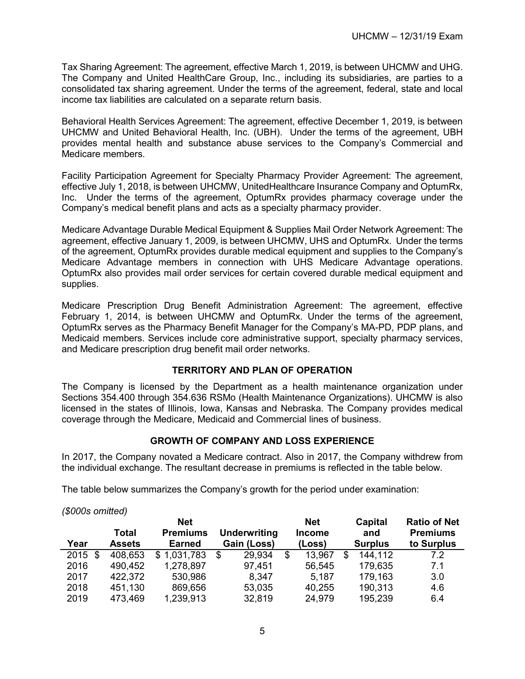Tax Sharing Agreement: The agreement, effective March 1, 2019, is between UHCMW and UHG. The Company and United HealthCare Group, Inc., including its subsidiaries, are parties to a consolidated tax sharing agreement. Under the terms of the agreement, federal, state and local income tax liabilities are calculated on a separate return basis.

Behavioral Health Services Agreement: The agreement, effective December 1, 2019, is between UHCMW and United Behavioral Health, Inc. (UBH). Under the terms of the agreement, UBH provides mental health and substance abuse services to the Company's Commercial and Medicare members.

Facility Participation Agreement for Specialty Pharmacy Provider Agreement: The agreement, effective July 1, 2018, is between UHCMW, UnitedHealthcare Insurance Company and OptumRx, Inc. Under the terms of the agreement, OptumRx provides pharmacy coverage under the Company's medical benefit plans and acts as a specialty pharmacy provider.

Medicare Advantage Durable Medical Equipment & Supplies Mail Order Network Agreement: The agreement, effective January 1, 2009, is between UHCMW, UHS and OptumRx. Under the terms of the agreement, OptumRx provides durable medical equipment and supplies to the Company's Medicare Advantage members in connection with UHS Medicare Advantage operations. OptumRx also provides mail order services for certain covered durable medical equipment and supplies.

Medicare Prescription Drug Benefit Administration Agreement: The agreement, effective February 1, 2014, is between UHCMW and OptumRx. Under the terms of the agreement, OptumRx serves as the Pharmacy Benefit Manager for the Company's MA-PD, PDP plans, and Medicaid members. Services include core administrative support, specialty pharmacy services, and Medicare prescription drug benefit mail order networks.

# **TERRITORY AND PLAN OF OPERATION**

<span id="page-8-0"></span>The Company is licensed by the Department as a health maintenance organization under Sections 354.400 through 354.636 RSMo (Health Maintenance Organizations). UHCMW is also licensed in the states of Illinois, Iowa, Kansas and Nebraska. The Company provides medical coverage through the Medicare, Medicaid and Commercial lines of business.

# **GROWTH OF COMPANY AND LOSS EXPERIENCE**

<span id="page-8-1"></span>In 2017, the Company novated a Medicare contract. Also in 2017, the Company withdrew from the individual exchange. The resultant decrease in premiums is reflected in the table below.

The table below summarizes the Company's growth for the period under examination:

| (\$000s omitted) |               |                               |                     |                             |   |                |                                        |
|------------------|---------------|-------------------------------|---------------------|-----------------------------|---|----------------|----------------------------------------|
|                  | Total         | <b>Net</b><br><b>Premiums</b> | <b>Underwriting</b> | <b>Net</b><br><b>Income</b> |   | Capital<br>and | <b>Ratio of Net</b><br><b>Premiums</b> |
| Year             | <b>Assets</b> | <b>Earned</b>                 | Gain (Loss)         | (Loss)                      |   | <b>Surplus</b> | to Surplus                             |
| $2015$ \$        | 408,653       | \$1,031,783                   | 29,934<br>\$        | \$<br>13,967                | S | 144,112        | 7.2                                    |
| 2016             | 490,452       | 1,278,897                     | 97,451              | 56,545                      |   | 179,635        | 7.1                                    |
| 2017             | 422,372       | 530,986                       | 8,347               | 5,187                       |   | 179,163        | 3.0                                    |
| 2018             | 451,130       | 869,656                       | 53,035              | 40,255                      |   | 190,313        | 4.6                                    |
| 2019             | 473,469       | 1,239,913                     | 32,819              | 24,979                      |   | 195,239        | 6.4                                    |

5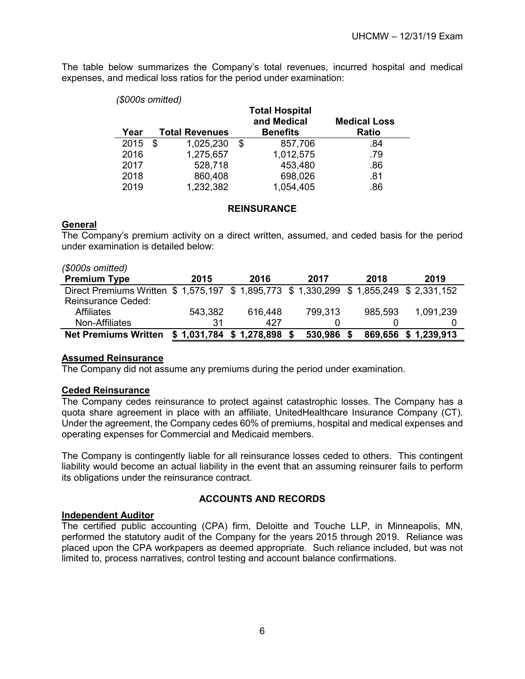The table below summarizes the Company's total revenues, incurred hospital and medical expenses, and medical loss ratios for the period under examination:

| (\$000s omitted) |                       |                                      |                     |
|------------------|-----------------------|--------------------------------------|---------------------|
|                  |                       | <b>Total Hospital</b><br>and Medical | <b>Medical Loss</b> |
| Year             | <b>Total Revenues</b> | <b>Benefits</b>                      | <b>Ratio</b>        |
| 2015             | \$<br>1,025,230       | \$<br>857,706                        | .84                 |
| 2016             | 1,275,657             | 1,012,575                            | .79                 |
| 2017             | 528,718               | 453,480                              | .86                 |
| 2018             | 860,408               | 698,026                              | .81                 |
| 2019             | 1,232,382             | 1,054,405                            | .86                 |

#### **REINSURANCE**

# <span id="page-9-1"></span><span id="page-9-0"></span>**General**

The Company's premium activity on a direct written, assumed, and ceded basis for the period under examination is detailed below:

| (\$000s omitted)                                                                         |         |                           |         |         |             |
|------------------------------------------------------------------------------------------|---------|---------------------------|---------|---------|-------------|
| <b>Premium Type</b>                                                                      | 2015    | 2016                      | 2017    | 2018    | 2019        |
| Direct Premiums Written \$ 1,575,197 \$ 1,895,773 \$ 1,330,299 \$ 1,855,249 \$ 2,331,152 |         |                           |         |         |             |
| <b>Reinsurance Ceded:</b>                                                                |         |                           |         |         |             |
| <b>Affiliates</b>                                                                        | 543,382 | 616,448                   | 799,313 | 985,593 | 1,091,239   |
| Non-Affiliates                                                                           | 31      | 427                       |         |         |             |
| <b>Net Premiums Written</b>                                                              |         | $$1,031,784$ $$1,278,898$ | 530,986 | 869,656 | \$1,239,913 |

# <span id="page-9-2"></span>**Assumed Reinsurance**

The Company did not assume any premiums during the period under examination.

#### <span id="page-9-3"></span>**Ceded Reinsurance**

The Company cedes reinsurance to protect against catastrophic losses. The Company has a quota share agreement in place with an affiliate, UnitedHealthcare Insurance Company (CT). Under the agreement, the Company cedes 60% of premiums, hospital and medical expenses and operating expenses for Commercial and Medicaid members.

The Company is contingently liable for all reinsurance losses ceded to others. This contingent liability would become an actual liability in the event that an assuming reinsurer fails to perform its obligations under the reinsurance contract.

#### **ACCOUNTS AND RECORDS**

#### <span id="page-9-5"></span><span id="page-9-4"></span>**Independent Auditor**

<span id="page-9-6"></span>The certified public accounting (CPA) firm, Deloitte and Touche LLP, in Minneapolis, MN, performed the statutory audit of the Company for the years 2015 through 2019. Reliance was placed upon the CPA workpapers as deemed appropriate. Such reliance included, but was not limited to, process narratives, control testing and account balance confirmations.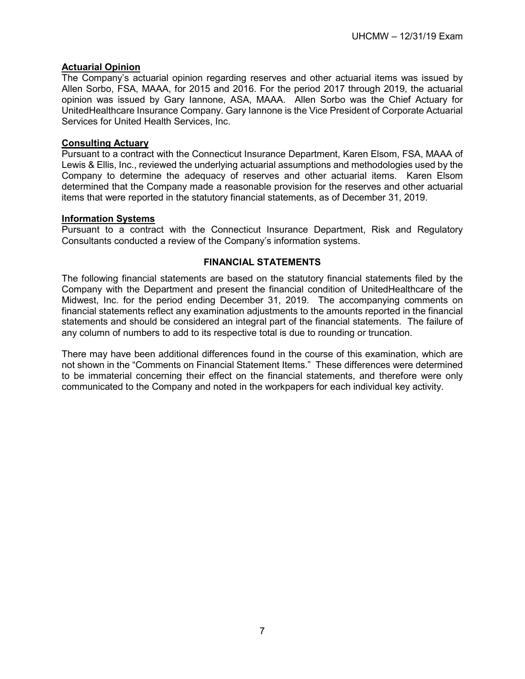# **Actuarial Opinion**

The Company's actuarial opinion regarding reserves and other actuarial items was issued by Allen Sorbo, FSA, MAAA, for 2015 and 2016. For the period 2017 through 2019, the actuarial opinion was issued by Gary Iannone, ASA, MAAA. Allen Sorbo was the Chief Actuary for UnitedHealthcare Insurance Company. Gary Iannone is the Vice President of Corporate Actuarial Services for United Health Services, Inc.

# <span id="page-10-0"></span>**Consulting Actuary**

Pursuant to a contract with the Connecticut Insurance Department, Karen Elsom, FSA, MAAA of Lewis & Ellis, Inc., reviewed the underlying actuarial assumptions and methodologies used by the Company to determine the adequacy of reserves and other actuarial items. Karen Elsom determined that the Company made a reasonable provision for the reserves and other actuarial items that were reported in the statutory financial statements, as of December 31, 2019.

# <span id="page-10-1"></span>**Information Systems**

Pursuant to a contract with the Connecticut Insurance Department, Risk and Regulatory Consultants conducted a review of the Company's information systems.

# **FINANCIAL STATEMENTS**

<span id="page-10-2"></span>The following financial statements are based on the statutory financial statements filed by the Company with the Department and present the financial condition of UnitedHealthcare of the Midwest, Inc. for the period ending December 31, 2019. The accompanying comments on financial statements reflect any examination adjustments to the amounts reported in the financial statements and should be considered an integral part of the financial statements. The failure of any column of numbers to add to its respective total is due to rounding or truncation.

There may have been additional differences found in the course of this examination, which are not shown in the "Comments on Financial Statement Items." These differences were determined to be immaterial concerning their effect on the financial statements, and therefore were only communicated to the Company and noted in the workpapers for each individual key activity.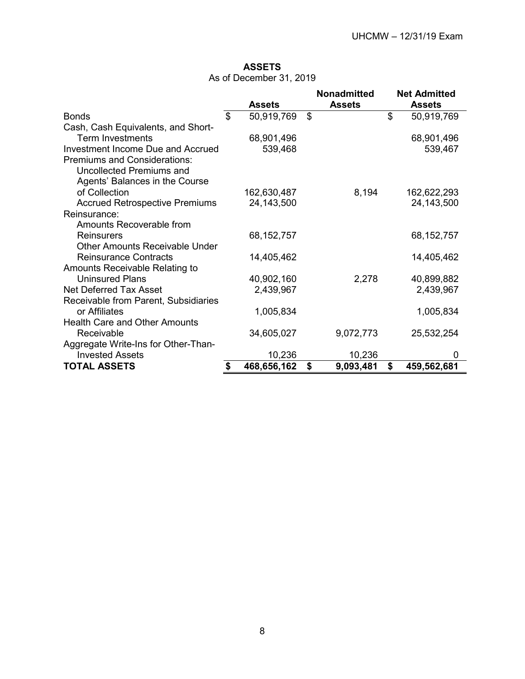# **ASSETS**

|  | As of December 31, 2019 |  |  |
|--|-------------------------|--|--|
|--|-------------------------|--|--|

<span id="page-11-0"></span>

|                                       |                   | <b>Nonadmitted</b> | <b>Net Admitted</b> |
|---------------------------------------|-------------------|--------------------|---------------------|
|                                       | <b>Assets</b>     | <b>Assets</b>      | <b>Assets</b>       |
| <b>Bonds</b>                          | \$<br>50,919,769  | \$                 | \$<br>50,919,769    |
| Cash, Cash Equivalents, and Short-    |                   |                    |                     |
| <b>Term Investments</b>               | 68,901,496        |                    | 68,901,496          |
| Investment Income Due and Accrued     | 539,468           |                    | 539,467             |
| <b>Premiums and Considerations:</b>   |                   |                    |                     |
| Uncollected Premiums and              |                   |                    |                     |
| Agents' Balances in the Course        |                   |                    |                     |
| of Collection                         | 162,630,487       | 8,194              | 162,622,293         |
| <b>Accrued Retrospective Premiums</b> | 24, 143, 500      |                    | 24, 143, 500        |
| Reinsurance:                          |                   |                    |                     |
| Amounts Recoverable from              |                   |                    |                     |
| Reinsurers                            | 68, 152, 757      |                    | 68, 152, 757        |
| <b>Other Amounts Receivable Under</b> |                   |                    |                     |
| <b>Reinsurance Contracts</b>          |                   |                    |                     |
|                                       | 14,405,462        |                    | 14,405,462          |
| Amounts Receivable Relating to        |                   |                    |                     |
| <b>Uninsured Plans</b>                | 40,902,160        | 2,278              | 40,899,882          |
| <b>Net Deferred Tax Asset</b>         | 2,439,967         |                    | 2,439,967           |
| Receivable from Parent, Subsidiaries  |                   |                    |                     |
| or Affiliates                         | 1,005,834         |                    | 1,005,834           |
| <b>Health Care and Other Amounts</b>  |                   |                    |                     |
| Receivable                            | 34,605,027        | 9,072,773          | 25,532,254          |
| Aggregate Write-Ins for Other-Than-   |                   |                    |                     |
| <b>Invested Assets</b>                | 10,236            | 10,236             | 0                   |
| <b>TOTAL ASSETS</b>                   | \$<br>468,656,162 | \$<br>9,093,481    | \$<br>459,562,681   |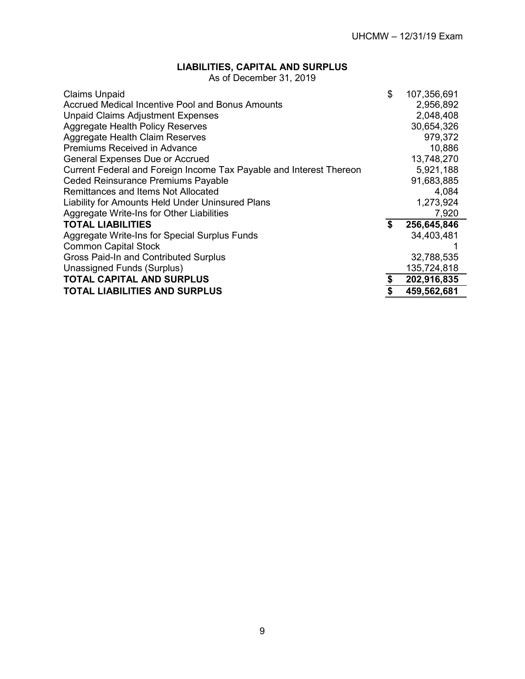# **LIABILITIES, CAPITAL AND SURPLUS**

As of December 31, 2019

<span id="page-12-0"></span>

| <b>Claims Unpaid</b>                                                | \$<br>107,356,691 |
|---------------------------------------------------------------------|-------------------|
| <b>Accrued Medical Incentive Pool and Bonus Amounts</b>             | 2,956,892         |
| <b>Unpaid Claims Adjustment Expenses</b>                            | 2,048,408         |
| <b>Aggregate Health Policy Reserves</b>                             | 30,654,326        |
| <b>Aggregate Health Claim Reserves</b>                              | 979,372           |
| <b>Premiums Received in Advance</b>                                 | 10,886            |
| <b>General Expenses Due or Accrued</b>                              | 13,748,270        |
| Current Federal and Foreign Income Tax Payable and Interest Thereon | 5,921,188         |
| Ceded Reinsurance Premiums Payable                                  | 91,683,885        |
| Remittances and Items Not Allocated                                 | 4,084             |
| Liability for Amounts Held Under Uninsured Plans                    | 1,273,924         |
| Aggregate Write-Ins for Other Liabilities                           | 7,920             |
| <b>TOTAL LIABILITIES</b>                                            | \$<br>256,645,846 |
| Aggregate Write-Ins for Special Surplus Funds                       | 34,403,481        |
| <b>Common Capital Stock</b>                                         |                   |
| Gross Paid-In and Contributed Surplus                               | 32,788,535        |
| Unassigned Funds (Surplus)                                          | 135,724,818       |
| <b>TOTAL CAPITAL AND SURPLUS</b>                                    | \$<br>202,916,835 |
| <b>TOTAL LIABILITIES AND SURPLUS</b>                                | \$<br>459,562,681 |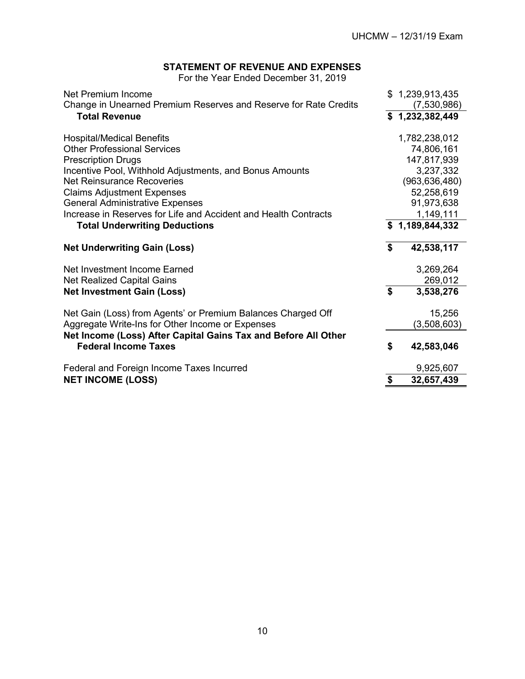# **STATEMENT OF REVENUE AND EXPENSES**

For the Year Ended December 31, 2019

<span id="page-13-0"></span>

| Net Premium Income<br>Change in Unearned Premium Reserves and Reserve for Rate Credits        | \$1,239,913,435<br>(7,530,986) |
|-----------------------------------------------------------------------------------------------|--------------------------------|
| <b>Total Revenue</b>                                                                          | \$1,232,382,449                |
| <b>Hospital/Medical Benefits</b>                                                              | 1,782,238,012                  |
| <b>Other Professional Services</b>                                                            | 74,806,161                     |
| <b>Prescription Drugs</b>                                                                     | 147,817,939                    |
| Incentive Pool, Withhold Adjustments, and Bonus Amounts                                       | 3,237,332                      |
| <b>Net Reinsurance Recoveries</b>                                                             | (963, 636, 480)                |
| <b>Claims Adjustment Expenses</b>                                                             | 52,258,619                     |
| <b>General Administrative Expenses</b>                                                        | 91,973,638                     |
| Increase in Reserves for Life and Accident and Health Contracts                               | 1,149,111                      |
| <b>Total Underwriting Deductions</b>                                                          | \$1,189,844,332                |
| <b>Net Underwriting Gain (Loss)</b>                                                           | \$<br>42,538,117               |
| Net Investment Income Earned                                                                  | 3,269,264                      |
| Net Realized Capital Gains                                                                    | 269,012                        |
| <b>Net Investment Gain (Loss)</b>                                                             | \$<br>3,538,276                |
| Net Gain (Loss) from Agents' or Premium Balances Charged Off                                  | 15,256                         |
| Aggregate Write-Ins for Other Income or Expenses                                              | (3,508,603)                    |
| Net Income (Loss) After Capital Gains Tax and Before All Other<br><b>Federal Income Taxes</b> | \$<br>42,583,046               |
| Federal and Foreign Income Taxes Incurred                                                     | 9,925,607                      |
| <b>NET INCOME (LOSS)</b>                                                                      | \$<br>32,657,439               |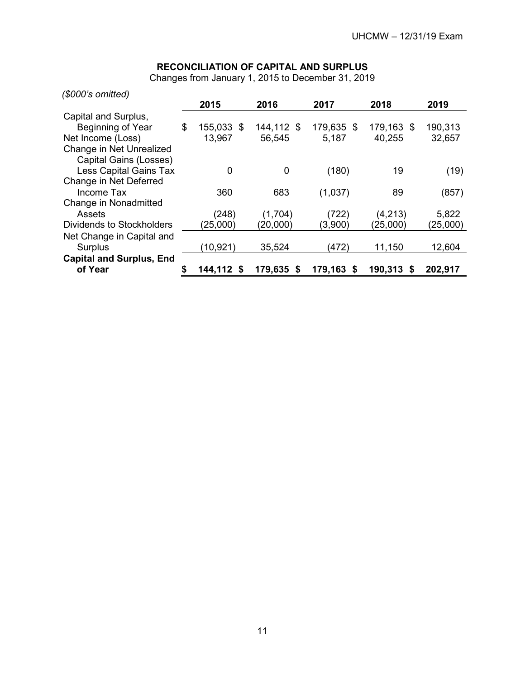# **RECONCILIATION OF CAPITAL AND SURPLUS**

Changes from January 1, 2015 to December 31, 2019

<span id="page-14-0"></span>

| (\$000's omitted)               |                  |              |            |               |          |
|---------------------------------|------------------|--------------|------------|---------------|----------|
|                                 | 2015             | 2016         | 2017       | 2018          | 2019     |
| Capital and Surplus,            |                  |              |            |               |          |
| Beginning of Year               | \$<br>155,033 \$ | 144,112 \$   | 179,635 \$ | 179,163 \$    | 190,313  |
| Net Income (Loss)               | 13,967           | 56,545       | 5,187      | 40,255        | 32,657   |
| Change in Net Unrealized        |                  |              |            |               |          |
| Capital Gains (Losses)          |                  |              |            |               |          |
| Less Capital Gains Tax          | 0                | 0            | (180)      | 19            | (19)     |
| Change in Net Deferred          |                  |              |            |               |          |
| Income Tax                      | 360              | 683          | (1,037)    | 89            | (857)    |
| Change in Nonadmitted           |                  |              |            |               |          |
| Assets                          | (248)            | (1,704)      | (722)      | (4,213)       | 5,822    |
| Dividends to Stockholders       | (25,000)         | (20,000)     | (3,900)    | (25,000)      | (25,000) |
| Net Change in Capital and       |                  |              |            |               |          |
| Surplus                         | (10,921)         | 35,524       | (472)      | 11,150        | 12,604   |
| <b>Capital and Surplus, End</b> |                  |              |            |               |          |
| of Year                         | 144,112 \$       | 179,635<br>S | 179,163 \$ | 190,313<br>`S | 202,917  |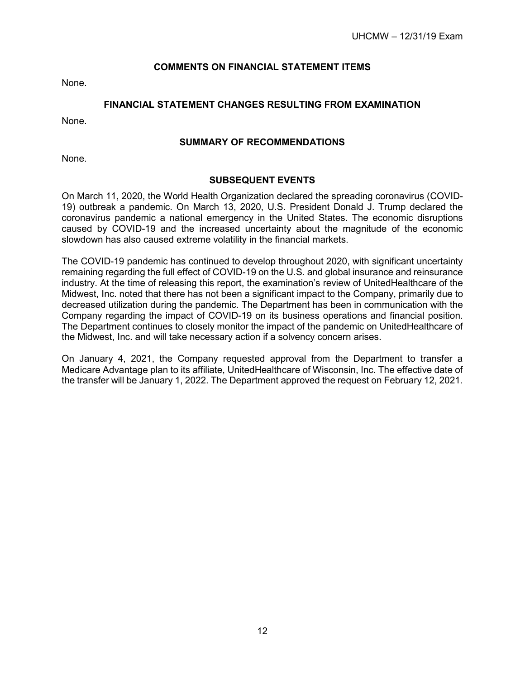# **COMMENTS ON FINANCIAL STATEMENT ITEMS**

<span id="page-15-0"></span>None.

# **FINANCIAL STATEMENT CHANGES RESULTING FROM EXAMINATION**

<span id="page-15-1"></span>None.

#### **SUMMARY OF RECOMMENDATIONS**

<span id="page-15-2"></span>None.

#### **SUBSEQUENT EVENTS**

<span id="page-15-3"></span>On March 11, 2020, the World Health Organization declared the spreading coronavirus (COVID-19) outbreak a pandemic. On March 13, 2020, U.S. President Donald J. Trump declared the coronavirus pandemic a national emergency in the United States. The economic disruptions caused by COVID-19 and the increased uncertainty about the magnitude of the economic slowdown has also caused extreme volatility in the financial markets.

The COVID-19 pandemic has continued to develop throughout 2020, with significant uncertainty remaining regarding the full effect of COVID-19 on the U.S. and global insurance and reinsurance industry. At the time of releasing this report, the examination's review of UnitedHealthcare of the Midwest, Inc. noted that there has not been a significant impact to the Company, primarily due to decreased utilization during the pandemic. The Department has been in communication with the Company regarding the impact of COVID-19 on its business operations and financial position. The Department continues to closely monitor the impact of the pandemic on UnitedHealthcare of the Midwest, Inc. and will take necessary action if a solvency concern arises.

On January 4, 2021, the Company requested approval from the Department to transfer a Medicare Advantage plan to its affiliate, UnitedHealthcare of Wisconsin, Inc. The effective date of the transfer will be January 1, 2022. The Department approved the request on February 12, 2021.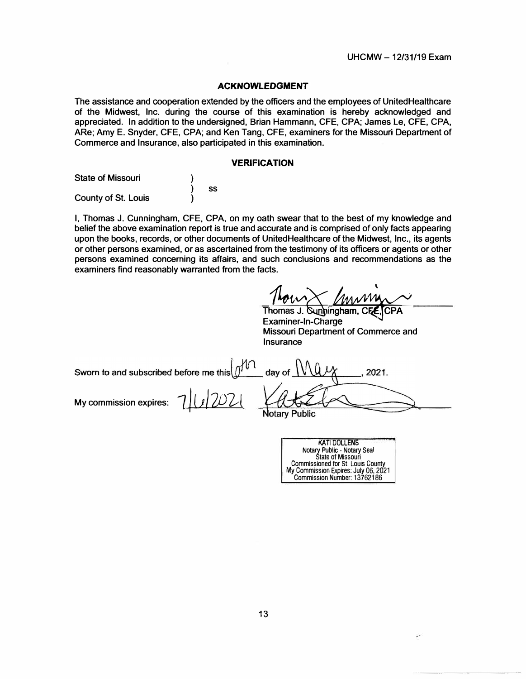#### **ACKNOWLEDGMENT**

**The assistance and cooperation extended by the officers and the employees of UnitedHealthcare of the Midwest, Inc. during the course of this examination is hereby acknowledged and appreciated. In addition to the undersigned, Brian Hammann, CFE, CPA; James Le, CFE, CPA, ARe; Amy E. Snyder, CFE, CPA; and Ken Tang, CFE, examiners for the Missouri Department of Commerce and Insurance, also participated in this examination.** 

#### **VERIFICATION**

| <b>State of Missouri</b> |    |
|--------------------------|----|
|                          | SS |
| County of St. Louis      |    |

**I, Thomas J. Cunningham, CFE, CPA, on my oath swear that to the best of my knowledge and belief the above examination report is true and accurate and is comprised of only facts appearing upon the books, records, or other documents of UnitedHealthcare of the Midwest, Inc., its agents or other persons examined, or as ascertained from the testimony of its officers or agents or other persons examined concerning its affairs, and such conclusions and recommendations as the examiners find reasonably warranted from the facts.** 

Thomas J. **Sunningharn, CFE, CPA**<br>Examiner-In-Charge **Examiner-In-Charge Missouri Department of Commerce and Insurance** 

| Sworn to and subscribed before me this $\mathcal{O}^{10}$ day of $\mathcal{NQ}$ |               |
|---------------------------------------------------------------------------------|---------------|
| My commission expires: 7 1 0 2007                                               | Natory Dublic |

**Notary Public** 

| <b>KATI DOLLENS</b>                      |
|------------------------------------------|
| Notary Public - Notary Seal              |
| <b>State of Missouri</b>                 |
| <b>Commissioned for St. Louis County</b> |
| My Commission Expires: July 06, 2021     |
| Commission Number: 13762186              |